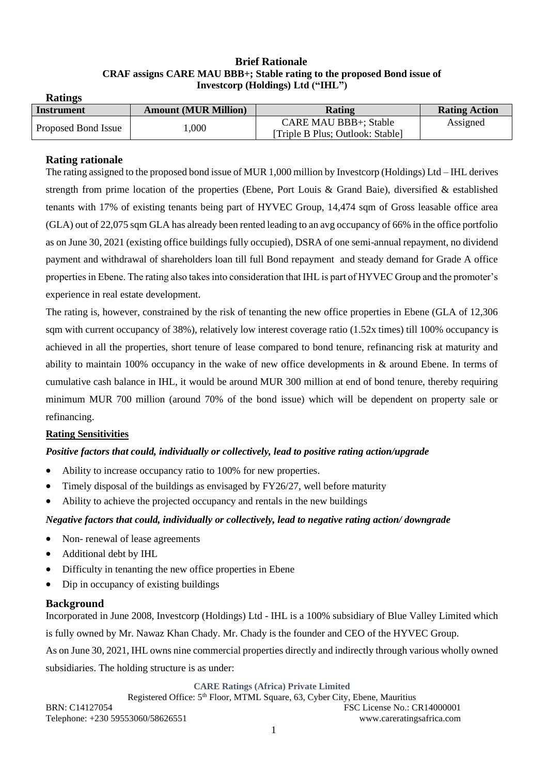#### **Brief Rationale CRAF assigns CARE MAU BBB+; Stable rating to the proposed Bond issue of Investcorp (Holdings) Ltd ("IHL")**

| Instrument          | <b>Amount (MUR Million)</b> | <b>Rating</b>                    | <b>Rating Action</b> |
|---------------------|-----------------------------|----------------------------------|----------------------|
| Proposed Bond Issue | ,000                        | <b>CARE MAU BBB+; Stable</b>     | Assigned             |
|                     |                             | [Triple B Plus; Outlook: Stable] |                      |

## **Rating rationale**

The rating assigned to the proposed bond issue of MUR 1,000 million by Investcorp (Holdings) Ltd – IHL derives strength from prime location of the properties (Ebene, Port Louis & Grand Baie), diversified & established tenants with 17% of existing tenants being part of HYVEC Group, 14,474 sqm of Gross leasable office area (GLA) out of 22,075 sqm GLA has already been rented leading to an avg occupancy of 66% in the office portfolio as on June 30, 2021 (existing office buildings fully occupied), DSRA of one semi-annual repayment, no dividend payment and withdrawal of shareholders loan till full Bond repayment and steady demand for Grade A office properties in Ebene. The rating also takes into consideration that IHL is part of HYVEC Group and the promoter's experience in real estate development.

The rating is, however, constrained by the risk of tenanting the new office properties in Ebene (GLA of 12,306 sqm with current occupancy of 38%), relatively low interest coverage ratio (1.52x times) till 100% occupancy is achieved in all the properties, short tenure of lease compared to bond tenure, refinancing risk at maturity and ability to maintain 100% occupancy in the wake of new office developments in & around Ebene. In terms of cumulative cash balance in IHL, it would be around MUR 300 million at end of bond tenure, thereby requiring minimum MUR 700 million (around 70% of the bond issue) which will be dependent on property sale or refinancing.

### **Rating Sensitivities**

### *Positive factors that could, individually or collectively, lead to positive rating action/upgrade*

- Ability to increase occupancy ratio to 100% for new properties.
- Timely disposal of the buildings as envisaged by FY26/27, well before maturity
- Ability to achieve the projected occupancy and rentals in the new buildings

### *Negative factors that could, individually or collectively, lead to negative rating action/ downgrade*

- Non-renewal of lease agreements
- Additional debt by IHL
- Difficulty in tenanting the new office properties in Ebene
- Dip in occupancy of existing buildings

### **Background**

Incorporated in June 2008, Investcorp (Holdings) Ltd - IHL is a 100% subsidiary of Blue Valley Limited which is fully owned by Mr. Nawaz Khan Chady. Mr. Chady is the founder and CEO of the HYVEC Group.

As on June 30, 2021, IHL owns nine commercial properties directly and indirectly through various wholly owned subsidiaries. The holding structure is as under:

**CARE Ratings (Africa) Private Limited**

Registered Office: 5<sup>th</sup> Floor, MTML Square, 63, Cyber City, Ebene, Mauritius BRN: C14127054 FSC License No.: CR14000001 Telephone: +230 59553060/58626551 www.careratingsafrica.com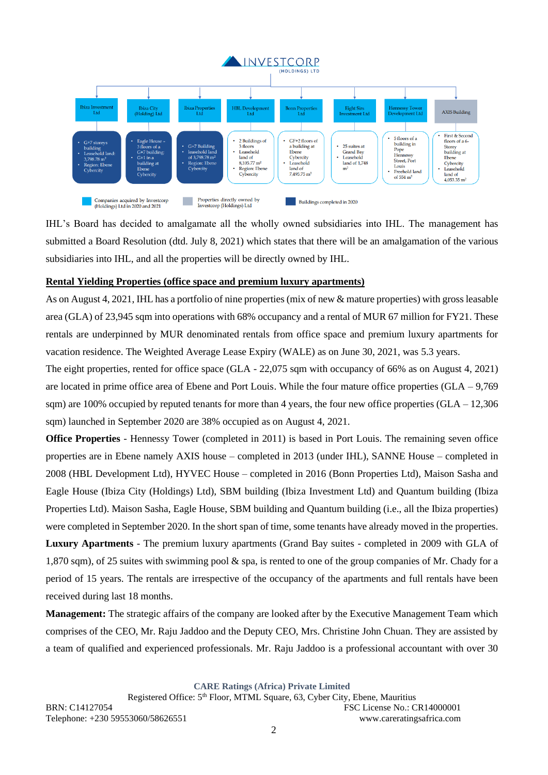

IHL's Board has decided to amalgamate all the wholly owned subsidiaries into IHL. The management has submitted a Board Resolution (dtd. July 8, 2021) which states that there will be an amalgamation of the various subsidiaries into IHL, and all the properties will be directly owned by IHL.

### **Rental Yielding Properties (office space and premium luxury apartments)**

As on August 4, 2021, IHL has a portfolio of nine properties (mix of new & mature properties) with gross leasable area (GLA) of 23,945 sqm into operations with 68% occupancy and a rental of MUR 67 million for FY21. These rentals are underpinned by MUR denominated rentals from office space and premium luxury apartments for vacation residence. The Weighted Average Lease Expiry (WALE) as on June 30, 2021, was 5.3 years.

The eight properties, rented for office space (GLA - 22,075 sqm with occupancy of 66% as on August 4, 2021) are located in prime office area of Ebene and Port Louis. While the four mature office properties (GLA – 9,769 sqm) are 100% occupied by reputed tenants for more than 4 years, the four new office properties  $(GLA - 12,306)$ sqm) launched in September 2020 are 38% occupied as on August 4, 2021.

**Office Properties** - Hennessy Tower (completed in 2011) is based in Port Louis. The remaining seven office properties are in Ebene namely AXIS house – completed in 2013 (under IHL), SANNE House – completed in 2008 (HBL Development Ltd), HYVEC House – completed in 2016 (Bonn Properties Ltd), Maison Sasha and Eagle House (Ibiza City (Holdings) Ltd), SBM building (Ibiza Investment Ltd) and Quantum building (Ibiza Properties Ltd). Maison Sasha, Eagle House, SBM building and Quantum building (i.e., all the Ibiza properties) were completed in September 2020. In the short span of time, some tenants have already moved in the properties.

**Luxury Apartments** - The premium luxury apartments (Grand Bay suites - completed in 2009 with GLA of 1,870 sqm), of 25 suites with swimming pool & spa, is rented to one of the group companies of Mr. Chady for a period of 15 years. The rentals are irrespective of the occupancy of the apartments and full rentals have been received during last 18 months.

**Management:** The strategic affairs of the company are looked after by the Executive Management Team which comprises of the CEO, Mr. Raju Jaddoo and the Deputy CEO, Mrs. Christine John Chuan. They are assisted by a team of qualified and experienced professionals. Mr. Raju Jaddoo is a professional accountant with over 30

**CARE Ratings (Africa) Private Limited**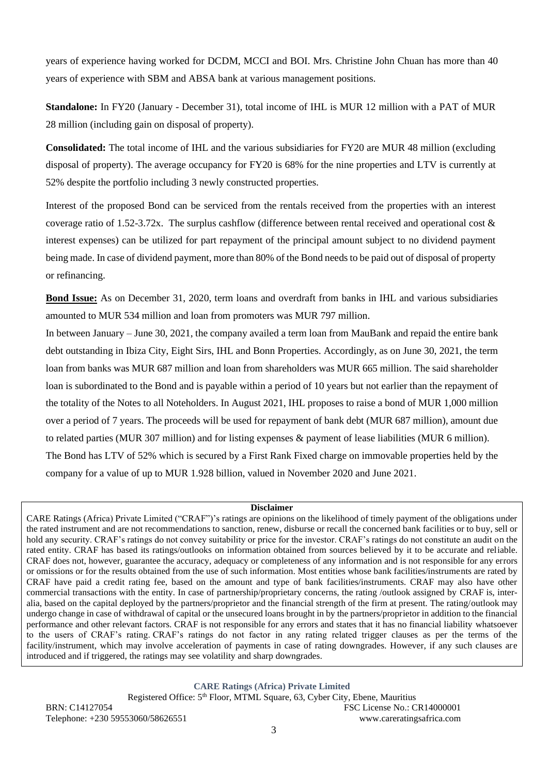years of experience having worked for DCDM, MCCI and BOI. Mrs. Christine John Chuan has more than 40 years of experience with SBM and ABSA bank at various management positions.

**Standalone:** In FY20 (January - December 31), total income of IHL is MUR 12 million with a PAT of MUR 28 million (including gain on disposal of property).

**Consolidated:** The total income of IHL and the various subsidiaries for FY20 are MUR 48 million (excluding disposal of property). The average occupancy for FY20 is 68% for the nine properties and LTV is currently at 52% despite the portfolio including 3 newly constructed properties.

Interest of the proposed Bond can be serviced from the rentals received from the properties with an interest coverage ratio of 1.52-3.72x. The surplus cashflow (difference between rental received and operational cost & interest expenses) can be utilized for part repayment of the principal amount subject to no dividend payment being made. In case of dividend payment, more than 80% of the Bond needs to be paid out of disposal of property or refinancing.

**Bond Issue:** As on December 31, 2020, term loans and overdraft from banks in IHL and various subsidiaries amounted to MUR 534 million and loan from promoters was MUR 797 million.

In between January – June 30, 2021, the company availed a term loan from MauBank and repaid the entire bank debt outstanding in Ibiza City, Eight Sirs, IHL and Bonn Properties. Accordingly, as on June 30, 2021, the term loan from banks was MUR 687 million and loan from shareholders was MUR 665 million. The said shareholder loan is subordinated to the Bond and is payable within a period of 10 years but not earlier than the repayment of the totality of the Notes to all Noteholders. In August 2021, IHL proposes to raise a bond of MUR 1,000 million over a period of 7 years. The proceeds will be used for repayment of bank debt (MUR 687 million), amount due to related parties (MUR 307 million) and for listing expenses & payment of lease liabilities (MUR 6 million). The Bond has LTV of 52% which is secured by a First Rank Fixed charge on immovable properties held by the company for a value of up to MUR 1.928 billion, valued in November 2020 and June 2021.

#### **Disclaimer**

CARE Ratings (Africa) Private Limited ("CRAF")'s ratings are opinions on the likelihood of timely payment of the obligations under the rated instrument and are not recommendations to sanction, renew, disburse or recall the concerned bank facilities or to buy, sell or hold any security. CRAF's ratings do not convey suitability or price for the investor. CRAF's ratings do not constitute an audit on the rated entity. CRAF has based its ratings/outlooks on information obtained from sources believed by it to be accurate and reliable. CRAF does not, however, guarantee the accuracy, adequacy or completeness of any information and is not responsible for any errors or omissions or for the results obtained from the use of such information. Most entities whose bank facilities/instruments are rated by CRAF have paid a credit rating fee, based on the amount and type of bank facilities/instruments. CRAF may also have other commercial transactions with the entity. In case of partnership/proprietary concerns, the rating /outlook assigned by CRAF is, interalia, based on the capital deployed by the partners/proprietor and the financial strength of the firm at present. The rating/outlook may undergo change in case of withdrawal of capital or the unsecured loans brought in by the partners/proprietor in addition to the financial performance and other relevant factors. CRAF is not responsible for any errors and states that it has no financial liability whatsoever to the users of CRAF's rating. CRAF's ratings do not factor in any rating related trigger clauses as per the terms of the facility/instrument, which may involve acceleration of payments in case of rating downgrades. However, if any such clauses are introduced and if triggered, the ratings may see volatility and sharp downgrades.

**CARE Ratings (Africa) Private Limited**

Registered Office: 5<sup>th</sup> Floor, MTML Square, 63, Cyber City, Ebene, Mauritius BRN: C14127054 FSC License No.: CR14000001 Telephone: +230 59553060/58626551 www.careratingsafrica.com